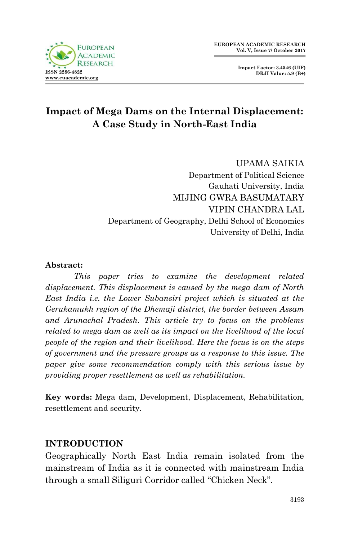

**EUROPEAN ACADEMIC RESEARCH Vol. V, Issue 7/ October 2017**



# **Impact of Mega Dams on the Internal Displacement: A Case Study in North-East India**

UPAMA SAIKIA Department of Political Science Gauhati University, India MIJING GWRA BASUMATARY VIPIN CHANDRA LAL Department of Geography, Delhi School of Economics University of Delhi, India

#### **Abstract:**

*This paper tries to examine the development related displacement. This displacement is caused by the mega dam of North East India i.e. the Lower Subansiri project which is situated at the Gerukamukh region of the Dhemaji district, the border between Assam and Arunachal Pradesh. This article try to focus on the problems related to mega dam as well as its impact on the livelihood of the local people of the region and their livelihood. Here the focus is on the steps of government and the pressure groups as a response to this issue. The paper give some recommendation comply with this serious issue by providing proper resettlement as well as rehabilitation.*

**Key words:** Mega dam, Development, Displacement, Rehabilitation, resettlement and security.

#### **INTRODUCTION**

Geographically North East India remain isolated from the mainstream of India as it is connected with mainstream India through a small Siliguri Corridor called "Chicken Neck".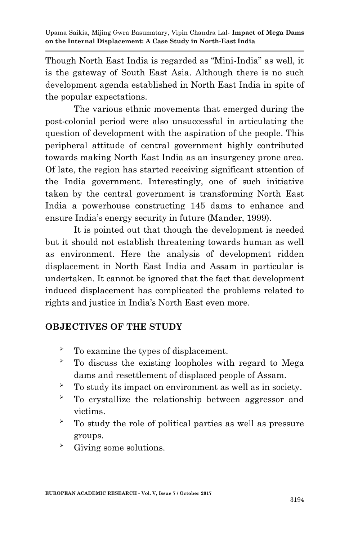Though North East India is regarded as "Mini-India" as well, it is the gateway of South East Asia. Although there is no such development agenda established in North East India in spite of the popular expectations.

The various ethnic movements that emerged during the post-colonial period were also unsuccessful in articulating the question of development with the aspiration of the people. This peripheral attitude of central government highly contributed towards making North East India as an insurgency prone area. Of late, the region has started receiving significant attention of the India government. Interestingly, one of such initiative taken by the central government is transforming North East India a powerhouse constructing 145 dams to enhance and ensure India's energy security in future (Mander, 1999).

It is pointed out that though the development is needed but it should not establish threatening towards human as well as environment. Here the analysis of development ridden displacement in North East India and Assam in particular is undertaken. It cannot be ignored that the fact that development induced displacement has complicated the problems related to rights and justice in India"s North East even more.

## **OBJECTIVES OF THE STUDY**

- To examine the types of displacement.
- To discuss the existing loopholes with regard to Mega dams and resettlement of displaced people of Assam.
- $\sim$  To study its impact on environment as well as in society.
- To crystallize the relationship between aggressor and victims.
- $\sim$  To study the role of political parties as well as pressure groups.
- Giving some solutions.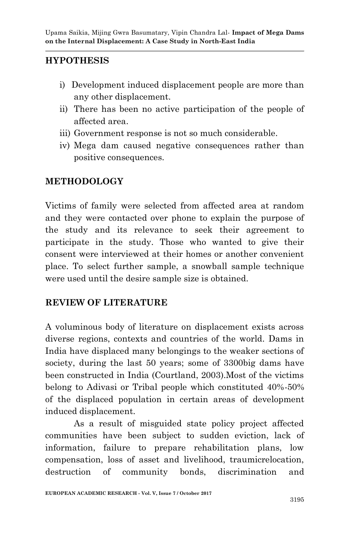## **HYPOTHESIS**

- i) Development induced displacement people are more than any other displacement.
- ii) There has been no active participation of the people of affected area.
- iii) Government response is not so much considerable.
- iv) Mega dam caused negative consequences rather than positive consequences.

#### **METHODOLOGY**

Victims of family were selected from affected area at random and they were contacted over phone to explain the purpose of the study and its relevance to seek their agreement to participate in the study. Those who wanted to give their consent were interviewed at their homes or another convenient place. To select further sample, a snowball sample technique were used until the desire sample size is obtained.

#### **REVIEW OF LITERATURE**

A voluminous body of literature on displacement exists across diverse regions, contexts and countries of the world. Dams in India have displaced many belongings to the weaker sections of society, during the last 50 years; some of 3300big dams have been constructed in India (Courtland, 2003).Most of the victims belong to Adivasi or Tribal people which constituted 40%-50% of the displaced population in certain areas of development induced displacement.

As a result of misguided state policy project affected communities have been subject to sudden eviction, lack of information, failure to prepare rehabilitation plans, low compensation, loss of asset and livelihood, traumicrelocation, destruction of community bonds, discrimination and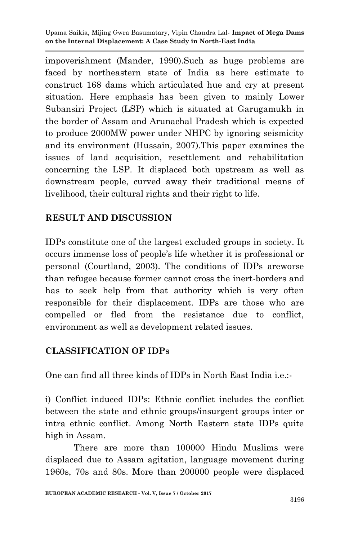Upama Saikia, Mijing Gwra Basumatary, Vipin Chandra Lal*-* **Impact of Mega Dams on the Internal Displacement: A Case Study in North-East India**

impoverishment (Mander, 1990).Such as huge problems are faced by northeastern state of India as here estimate to construct 168 dams which articulated hue and cry at present situation. Here emphasis has been given to mainly Lower Subansiri Project (LSP) which is situated at Garugamukh in the border of Assam and Arunachal Pradesh which is expected to produce 2000MW power under NHPC by ignoring seismicity and its environment (Hussain, 2007).This paper examines the issues of land acquisition, resettlement and rehabilitation concerning the LSP. It displaced both upstream as well as downstream people, curved away their traditional means of livelihood, their cultural rights and their right to life.

## **RESULT AND DISCUSSION**

IDPs constitute one of the largest excluded groups in society. It occurs immense loss of people"s life whether it is professional or personal (Courtland, 2003). The conditions of IDPs areworse than refugee because former cannot cross the inert-borders and has to seek help from that authority which is very often responsible for their displacement. IDPs are those who are compelled or fled from the resistance due to conflict, environment as well as development related issues.

## **CLASSIFICATION OF IDPs**

One can find all three kinds of IDPs in North East India i.e.:-

i) Conflict induced IDPs: Ethnic conflict includes the conflict between the state and ethnic groups/insurgent groups inter or intra ethnic conflict. Among North Eastern state IDPs quite high in Assam.

There are more than 100000 Hindu Muslims were displaced due to Assam agitation, language movement during 1960s, 70s and 80s. More than 200000 people were displaced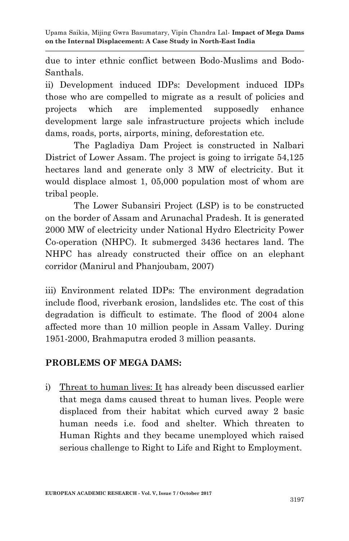due to inter ethnic conflict between Bodo-Muslims and Bodo-Santhals.

ii) Development induced IDPs: Development induced IDPs those who are compelled to migrate as a result of policies and projects which are implemented supposedly enhance development large sale infrastructure projects which include dams, roads, ports, airports, mining, deforestation etc.

The Pagladiya Dam Project is constructed in Nalbari District of Lower Assam. The project is going to irrigate 54,125 hectares land and generate only 3 MW of electricity. But it would displace almost 1, 05,000 population most of whom are tribal people.

The Lower Subansiri Project (LSP) is to be constructed on the border of Assam and Arunachal Pradesh. It is generated 2000 MW of electricity under National Hydro Electricity Power Co-operation (NHPC). It submerged 3436 hectares land. The NHPC has already constructed their office on an elephant corridor (Manirul and Phanjoubam, 2007)

iii) Environment related IDPs: The environment degradation include flood, riverbank erosion, landslides etc. The cost of this degradation is difficult to estimate. The flood of 2004 alone affected more than 10 million people in Assam Valley. During 1951-2000, Brahmaputra eroded 3 million peasants.

## **PROBLEMS OF MEGA DAMS:**

i) Threat to human lives: It has already been discussed earlier that mega dams caused threat to human lives. People were displaced from their habitat which curved away 2 basic human needs i.e. food and shelter. Which threaten to Human Rights and they became unemployed which raised serious challenge to Right to Life and Right to Employment.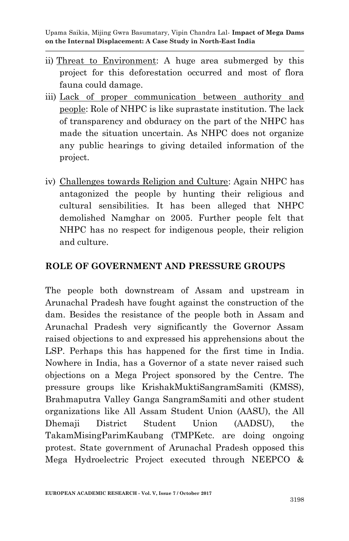Upama Saikia, Mijing Gwra Basumatary, Vipin Chandra Lal*-* **Impact of Mega Dams on the Internal Displacement: A Case Study in North-East India**

- ii) Threat to Environment: A huge area submerged by this project for this deforestation occurred and most of flora fauna could damage.
- iii) Lack of proper communication between authority and people: Role of NHPC is like suprastate institution. The lack of transparency and obduracy on the part of the NHPC has made the situation uncertain. As NHPC does not organize any public hearings to giving detailed information of the project.
- iv) Challenges towards Religion and Culture: Again NHPC has antagonized the people by hunting their religious and cultural sensibilities. It has been alleged that NHPC demolished Namghar on 2005. Further people felt that NHPC has no respect for indigenous people, their religion and culture.

#### **ROLE OF GOVERNMENT AND PRESSURE GROUPS**

The people both downstream of Assam and upstream in Arunachal Pradesh have fought against the construction of the dam. Besides the resistance of the people both in Assam and Arunachal Pradesh very significantly the Governor Assam raised objections to and expressed his apprehensions about the LSP. Perhaps this has happened for the first time in India. Nowhere in India, has a Governor of a state never raised such objections on a Mega Project sponsored by the Centre. The pressure groups like KrishakMuktiSangramSamiti (KMSS), Brahmaputra Valley Ganga SangramSamiti and other student organizations like All Assam Student Union (AASU), the All Dhemaji District Student Union (AADSU), the TakamMisingParimKaubang (TMPKetc. are doing ongoing protest. State government of Arunachal Pradesh opposed this Mega Hydroelectric Project executed through NEEPCO &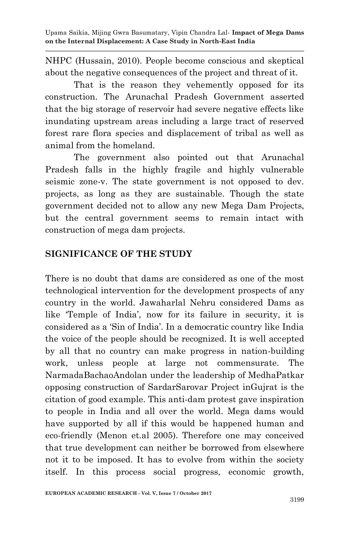Upama Saikia, Mijing Gwra Basumatary, Vipin Chandra Lal*-* **Impact of Mega Dams on the Internal Displacement: A Case Study in North-East India**

NHPC (Hussain, 2010). People become conscious and skeptical about the negative consequences of the project and threat of it.

That is the reason they vehemently opposed for its construction. The Arunachal Pradesh Government asserted that the big storage of reservoir had severe negative effects like inundating upstream areas including a large tract of reserved forest rare flora species and displacement of tribal as well as animal from the homeland.

The government also pointed out that Arunachal Pradesh falls in the highly fragile and highly vulnerable seismic zone-v. The state government is not opposed to dev. projects, as long as they are sustainable. Though the state government decided not to allow any new Mega Dam Projects, but the central government seems to remain intact with construction of mega dam projects.

### **SIGNIFICANCE OF THE STUDY**

There is no doubt that dams are considered as one of the most technological intervention for the development prospects of any country in the world. Jawaharlal Nehru considered Dams as like Temple of India', now for its failure in security, it is considered as a "Sin of India". In a democratic country like India the voice of the people should be recognized. It is well accepted by all that no country can make progress in nation-building work, unless people at large not commensurate. The NarmadaBachaoAndolan under the leadership of MedhaPatkar opposing construction of SardarSarovar Project inGujrat is the citation of good example. This anti-dam protest gave inspiration to people in India and all over the world. Mega dams would have supported by all if this would be happened human and eco-friendly (Menon et.al 2005). Therefore one may conceived that true development can neither be borrowed from elsewhere not it to be imposed. It has to evolve from within the society itself. In this process social progress, economic growth,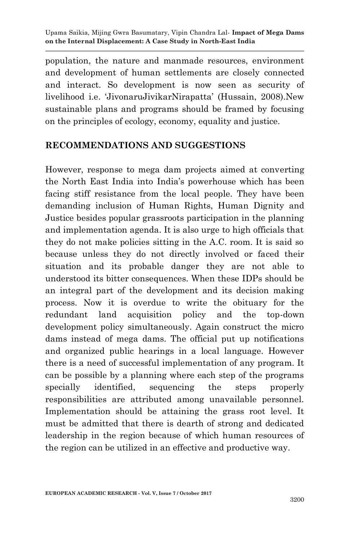population, the nature and manmade resources, environment and development of human settlements are closely connected and interact. So development is now seen as security of livelihood i.e. "JivonaruJivikarNirapatta" (Hussain, 2008).New sustainable plans and programs should be framed by focusing on the principles of ecology, economy, equality and justice.

#### **RECOMMENDATIONS AND SUGGESTIONS**

However, response to mega dam projects aimed at converting the North East India into India"s powerhouse which has been facing stiff resistance from the local people. They have been demanding inclusion of Human Rights, Human Dignity and Justice besides popular grassroots participation in the planning and implementation agenda. It is also urge to high officials that they do not make policies sitting in the A.C. room. It is said so because unless they do not directly involved or faced their situation and its probable danger they are not able to understood its bitter consequences. When these IDPs should be an integral part of the development and its decision making process. Now it is overdue to write the obituary for the redundant land acquisition policy and the top-down development policy simultaneously. Again construct the micro dams instead of mega dams. The official put up notifications and organized public hearings in a local language. However there is a need of successful implementation of any program. It can be possible by a planning where each step of the programs specially identified, sequencing the steps properly responsibilities are attributed among unavailable personnel. Implementation should be attaining the grass root level. It must be admitted that there is dearth of strong and dedicated leadership in the region because of which human resources of the region can be utilized in an effective and productive way.